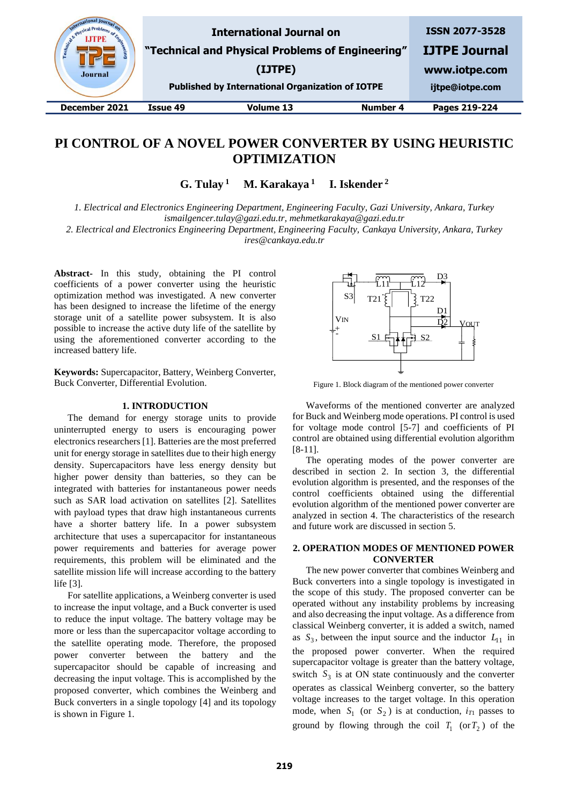

# **PI CONTROL OF A NOVEL POWER CONVERTER BY USING HEURISTIC OPTIMIZATION**

 $G.$  Tulay<sup>1</sup>  **M. Karakaya <sup>1</sup> I. Iskender <sup>2</sup>**

*1. Electrical and Electronics Engineering Department, Engineering Faculty, Gazi University, Ankara, Turkey ismailgencer.tulay@gazi.edu.tr, mehmetkarakaya@gazi.edu.tr*

*2. Electrical and Electronics Engineering Department, Engineering Faculty, Cankaya University, Ankara, Turkey ires@cankaya.edu.tr*

**Abstract-** In this study, obtaining the PI control coefficients of a power converter using the heuristic optimization method was investigated. A new converter has been designed to increase the lifetime of the energy storage unit of a satellite power subsystem. It is also possible to increase the active duty life of the satellite by using the aforementioned converter according to the increased battery life.

**Keywords:** Supercapacitor, Battery, Weinberg Converter, Buck Converter, Differential Evolution.

## **1. INTRODUCTION**

The demand for energy storage units to provide uninterrupted energy to users is encouraging power electronics researchers [1]. Batteries are the most preferred unit for energy storage in satellites due to their high energy density. Supercapacitors have less energy density but higher power density than batteries, so they can be integrated with batteries for instantaneous power needs such as SAR load activation on satellites [2]. Satellites with payload types that draw high instantaneous currents have a shorter battery life. In a power subsystem architecture that uses a supercapacitor for instantaneous power requirements and batteries for average power requirements, this problem will be eliminated and the satellite mission life will increase according to the battery life [3].

For satellite applications, a Weinberg converter is used to increase the input voltage, and a Buck converter is used to reduce the input voltage. The battery voltage may be more or less than the supercapacitor voltage according to the satellite operating mode. Therefore, the proposed power converter between the battery and the supercapacitor should be capable of increasing and decreasing the input voltage. This is accomplished by the proposed converter, which combines the Weinberg and Buck converters in a single topology [4] and its topology is shown in Figure 1.



Figure 1. Block diagram of the mentioned power converter

Waveforms of the mentioned converter are analyzed for Buck and Weinberg mode operations. PI control is used for voltage mode control [5-7] and coefficients of PI control are obtained using differential evolution algorithm [8-11].

The operating modes of the power converter are described in section 2. In section 3, the differential evolution algorithm is presented, and the responses of the control coefficients obtained using the differential evolution algorithm of the mentioned power converter are analyzed in section 4. The characteristics of the research and future work are discussed in section 5.

# **2. OPERATION MODES OF MENTIONED POWER CONVERTER**

The new power converter that combines Weinberg and Buck converters into a single topology is investigated in the scope of this study. The proposed converter can be operated without any instability problems by increasing and also decreasing the input voltage. As a difference from classical Weinberg converter, it is added a switch, named as  $S_3$ , between the input source and the inductor  $L_{11}$  in the proposed power converter. When the required supercapacitor voltage is greater than the battery voltage, switch  $S_3$  is at ON state continuously and the converter operates as classical Weinberg converter, so the battery voltage increases to the target voltage. In this operation mode, when  $S_1$  (or  $S_2$ ) is at conduction,  $i_{T1}$  passes to ground by flowing through the coil  $T_1$  (or  $T_2$ ) of the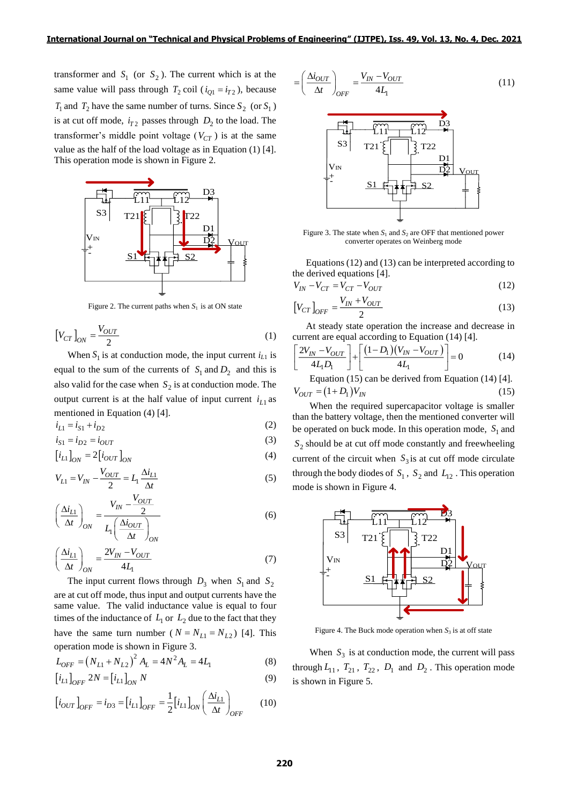transformer and  $S_1$  (or  $S_2$ ). The current which is at the same value will pass through  $T_2$  coil ( $i_{Q1} = i_{T2}$ ), because  $T_1$  and  $T_2$  have the same number of turns. Since  $S_2$  (or  $S_1$ ) is at cut off mode,  $i_{T2}$  passes through  $D_2$  to the load. The transformer's middle point voltage  $(V_{CT})$  is at the same value as the half of the load voltage as in Equation (1) [4]. This operation mode is shown in Figure 2.



Figure 2. The current paths when  $S_1$  is at ON state

$$
\left[V_{CT}\right]_{ON} = \frac{V_{OUT}}{2} \tag{1}
$$

When  $S_1$  is at conduction mode, the input current  $i_{L1}$  is equal to the sum of the currents of  $S_1$  and  $D_2$  and this is also valid for the case when  $S_2$  is at conduction mode. The output current is at the half value of input current  $i_{L1}$  as mentioned in Equation (4) [4].

$$
i_{L1} = i_{S1} + i_{D2} \tag{2}
$$

$$
i_{S1} = i_{D2} = i_{OUT}
$$
 (3)

$$
\begin{bmatrix} i_{L1} \end{bmatrix}_{ON} = 2 \begin{bmatrix} i_{OUT} \end{bmatrix}_{ON} \tag{4}
$$

$$
V_{L1} = V_{IN} - \frac{V_{OUT}}{2} = L_1 \frac{\Delta i_{L1}}{\Delta t}
$$
 (5)

$$
\left(\frac{\Delta i_{L1}}{\Delta t}\right)_{ON} = \frac{V_{IN} - \frac{V_{OUT}}{2}}{L_1 \left(\frac{\Delta i_{OUT}}{\Delta t}\right)_{ON}}
$$
(6)

$$
\left(\frac{\Delta i_{L1}}{\Delta t}\right)_{ON} = \frac{2V_{IN} - V_{OUT}}{4L_1} \tag{7}
$$

The input current flows through  $D_3$  when  $S_1$  and  $S_2$ are at cut off mode, thus input and output currents have the same value. The valid inductance value is equal to four times of the inductance of  $L_1$  or  $L_2$  due to the fact that they have the same turn number ( $N = N_{L1} = N_{L2}$ ) [4]. This operation mode is shown in Figure 3.

$$
L_{OFF} = (N_{L1} + N_{L2})^2 A_L = 4N^2 A_L = 4L_1
$$
\n(8)

$$
\left[i_{L1}\right]_{OFF} 2N = \left[i_{L1}\right]_{ON} N \tag{9}
$$

$$
\left[i_{OUT}\right]_{OFF} = i_{D3} = \left[i_{L1}\right]_{OFF} = \frac{1}{2}\left[i_{L1}\right]_{ON} \left(\frac{\Delta i_{L1}}{\Delta t}\right)_{OFF}
$$
 (10)

$$
= \left(\frac{\Delta i_{OUT}}{\Delta t}\right)_{OFF} = \frac{V_{IN} - V_{OUT}}{4L_1} \tag{11}
$$



Figure 3. The state when  $S_1$  and  $S_2$  are OFF that mentioned power converter operates on Weinberg mode

Equations (12) and (13) can be interpreted according to the derived equations [4].

$$
V_{IN} - V_{CT} = V_{CT} - V_{OUT}
$$
\n<sup>(12)</sup>

$$
\left[V_{CT}\right]_{OFF} = \frac{V_{IN} + V_{OUT}}{2} \tag{13}
$$

At steady state operation the increase and decrease in current are equal according to Equation (14) [4].

$$
\left[\frac{2V_{IN} - V_{OUT}}{4L_1D_1}\right] + \left[\frac{(1 - D_1)(V_{IN} - V_{OUT})}{4L_1}\right] = 0
$$
 (14)

Equation (15) can be derived from Equation (14) [4].  $V_{OUT} = (1 + D_1)V_{IN}$ (15)

When the required supercapacitor voltage is smaller than the battery voltage, then the mentioned converter will be operated on buck mode. In this operation mode,  $S_1$  and  $S_2$  should be at cut off mode constantly and freewheeling current of the circuit when  $S_3$  is at cut off mode circulate through the body diodes of  $S_1$ ,  $S_2$  and  $L_{12}$ . This operation mode is shown in Figure 4.



Figure 4. The Buck mode operation when  $S_3$  is at off state

When  $S_3$  is at conduction mode, the current will pass through  $L_{11}$ ,  $T_{21}$ ,  $T_{22}$ ,  $D_1$  and  $D_2$ . This operation mode is shown in Figure 5.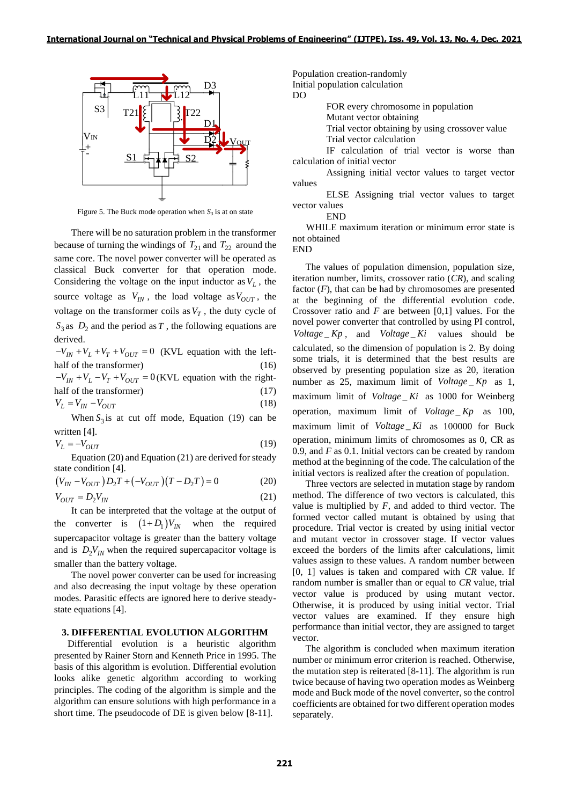

Figure 5. The Buck mode operation when  $S_3$  is at on state

There will be no saturation problem in the transformer because of turning the windings of  $T_{21}$  and  $T_{22}$  around the same core. The novel power converter will be operated as classical Buck converter for that operation mode. Considering the voltage on the input inductor as  $V_L$ , the source voltage as  $V_{IN}$ , the load voltage as  $V_{OUT}$ , the voltage on the transformer coils as  $V_T$ , the duty cycle of  $S_3$  as  $D_2$  and the period as T, the following equations are derived.

 $-V_{IN} + V_L + V_T + V_{OUT} = 0$  (KVL equation with the lefthalf of the transformer) (16)  $-V_{IN} + V_L - V_T + V_{OUT} = 0$  (KVL equation with the righthalf of the transformer) (17)

$$
V_L = V_{IN} - V_{OUT} \tag{18}
$$

When  $S_3$  is at cut off mode, Equation (19) can be written [4].

$$
V_L = -V_{OUT} \tag{19}
$$

Equation (20) and Equation (21) are derived for steady state condition [4].

$$
\left(V_{IN} - V_{OUT}\right)D_2T + \left(-V_{OUT}\right)\left(T - D_2T\right) = 0\tag{20}
$$
\n
$$
V_{OUT} = D_2V_{IN}\tag{21}
$$

It can be interpreted that the voltage at the output of the converter is  $(1+D_1)V_{IN}$  when the required supercapacitor voltage is greater than the battery voltage and is  $D_2V_{IN}$  when the required supercapacitor voltage is smaller than the battery voltage.

The novel power converter can be used for increasing and also decreasing the input voltage by these operation modes. Parasitic effects are ignored here to derive steadystate equations [4].

### **3. DIFFERENTIAL EVOLUTION ALGORITHM**

Differential evolution is a heuristic algorithm presented by Rainer Storn and Kenneth Price in 1995. The basis of this algorithm is evolution. Differential evolution looks alike genetic algorithm according to working principles. The coding of the algorithm is simple and the algorithm can ensure solutions with high performance in a short time. The pseudocode of DE is given below [8-11].

Population creation-randomly

Initial population calculation

DO

FOR every chromosome in population

Mutant vector obtaining

Trial vector obtaining by using crossover value

Trial vector calculation

IF calculation of trial vector is worse than calculation of initial vector

Assigning initial vector values to target vector values

ELSE Assigning trial vector values to target vector values

END

WHILE maximum iteration or minimum error state is not obtained

END

The values of population dimension, population size, iteration number, limits, crossover ratio (*CR*), and scaling factor  $(F)$ , that can be had by chromosomes are presented at the beginning of the differential evolution code. Crossover ratio and *F* are between [0,1] values. For the novel power converter that controlled by using PI control,  $Voltage$ <sub>,</sub> and  $Voltage$ <sub>*Ki*</sub> values should be calculated, so the dimension of population is 2. By doing some trials, it is determined that the best results are observed by presenting population size as 20, iteration number as 25, maximum limit of  $Voltage$ <sub>*Kp*</sub> as 1, maximum limit of Voltage Ki as 1000 for Weinberg operation, maximum limit of Voltage Kp as 100, maximum limit of *Voltage* Ki as 100000 for Buck operation, minimum limits of chromosomes as 0, CR as 0.9, and *F* as 0.1. Initial vectors can be created by random method at the beginning of the code. The calculation of the initial vectors is realized after the creation of population.

Three vectors are selected in mutation stage by random method. The difference of two vectors is calculated, this value is multiplied by *F*, and added to third vector. The formed vector called mutant is obtained by using that procedure. Trial vector is created by using initial vector and mutant vector in crossover stage. If vector values exceed the borders of the limits after calculations, limit values assign to these values. A random number between [0, 1] values is taken and compared with *CR* value. If random number is smaller than or equal to *CR* value, trial vector value is produced by using mutant vector. Otherwise, it is produced by using initial vector. Trial vector values are examined. If they ensure high performance than initial vector, they are assigned to target vector.

The algorithm is concluded when maximum iteration number or minimum error criterion is reached. Otherwise, the mutation step is reiterated [8-11]. The algorithm is run twice because of having two operation modes as Weinberg mode and Buck mode of the novel converter, so the control coefficients are obtained for two different operation modes separately.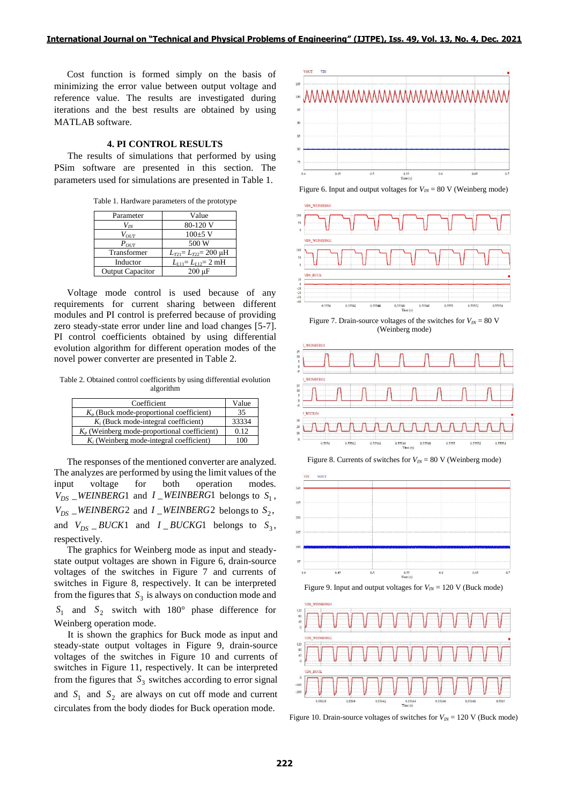Cost function is formed simply on the basis of minimizing the error value between output voltage and reference value. The results are investigated during iterations and the best results are obtained by using MATLAB software.

### **4. PI CONTROL RESULTS**

The results of simulations that performed by using PSim software are presented in this section. The parameters used for simulations are presented in Table 1.

Table 1. Hardware parameters of the prototype

| Parameter               | Value                              |
|-------------------------|------------------------------------|
| $V_{I\!N}$              | 80-120 V                           |
| $V_{OUT}$               | $100\pm 5$ V                       |
| $P_{OUT}$               | 500 W                              |
| Transformer             | $L_{T21} = L_{T22} = 200$ uH       |
| Inductor                | $L_{L11} = L_{L12} = 2 \text{ mH}$ |
| <b>Output Capacitor</b> | $200 \text{ uF}$                   |

Voltage mode control is used because of any requirements for current sharing between different modules and PI control is preferred because of providing zero steady-state error under line and load changes [5-7]. PI control coefficients obtained by using differential evolution algorithm for different operation modes of the novel power converter are presented in Table 2.

Table 2. Obtained control coefficients by using differential evolution algorithm

| Coefficient                                    | Value |
|------------------------------------------------|-------|
| $K_p$ (Buck mode-proportional coefficient)     | 35    |
| $K_i$ (Buck mode-integral coefficient)         | 33334 |
| $K_p$ (Weinberg mode-proportional coefficient) | 0.12  |
| $K_i$ (Weinberg mode-integral coefficient)     | 100   |

The responses of the mentioned converter are analyzed. The analyzes are performed by using the limit values of the input voltage for both operation modes.  $V_{DS}$  *WEINBERG*1 and *I WEINBERG*1 belongs to  $S_1$ ,  $V_{DS}$   $\_\_WEINBERG2$  and  $I$   $\_\_WEINBERG2$  belongs to  $S_2$ , and  $V_{DS}$  *BUCK*1 and *I BUCKG*1 belongs to  $S_3$ , respectively.

The graphics for Weinberg mode as input and steadystate output voltages are shown in Figure 6, drain-source voltages of the switches in Figure 7 and currents of switches in Figure 8, respectively. It can be interpreted from the figures that  $S_3$  is always on conduction mode and  $S_1$  and  $S_2$  switch with 180° phase difference for Weinberg operation mode.

It is shown the graphics for Buck mode as input and steady-state output voltages in Figure 9, drain-source voltages of the switches in Figure 10 and currents of switches in Figure 11, respectively. It can be interpreted from the figures that  $S_3$  switches according to error signal and  $S_1$  and  $S_2$  are always on cut off mode and current circulates from the body diodes for Buck operation mode.



Figure 6. Input and output voltages for  $V_{IN} = 80$  V (Weinberg mode)







Figure 8. Currents of switches for  $V_{I N} = 80$  V (Weinberg mode)







Figure 10. Drain-source voltages of switches for  $V_{I\!N}$  = 120 V (Buck mode)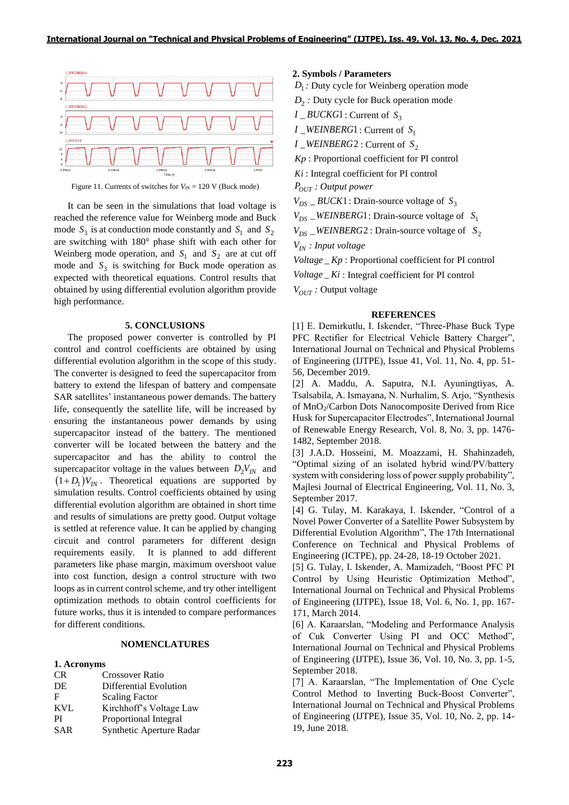

Figure 11. Currents of switches for  $V_{I N} = 120$  V (Buck mode)

It can be seen in the simulations that load voltage is reached the reference value for Weinberg mode and Buck mode  $S_3$  is at conduction mode constantly and  $S_1$  and  $S_2$ are switching with 180° phase shift with each other for Weinberg mode operation, and  $S_1$  and  $S_2$  are at cut off mode and  $S_3$  is switching for Buck mode operation as expected with theoretical equations. Control results that obtained by using differential evolution algorithm provide high performance.

### **5. CONCLUSIONS**

The proposed power converter is controlled by PI control and control coefficients are obtained by using differential evolution algorithm in the scope of this study. The converter is designed to feed the supercapacitor from battery to extend the lifespan of battery and compensate SAR satellites' instantaneous power demands. The battery life, consequently the satellite life, will be increased by ensuring the instantaneous power demands by using supercapacitor instead of the battery. The mentioned converter will be located between the battery and the supercapacitor and has the ability to control the supercapacitor voltage in the values between  $D_2V_{IN}$  and  $(1+D_1)V_{IN}$ . Theoretical equations are supported by simulation results. Control coefficients obtained by using differential evolution algorithm are obtained in short time and results of simulations are pretty good. Output voltage is settled at reference value. It can be applied by changing circuit and control parameters for different design requirements easily. It is planned to add different parameters like phase margin, maximum overshoot value into cost function, design a control structure with two loops as in current control scheme, and try other intelligent optimization methods to obtain control coefficients for future works, thus it is intended to compare performances for different conditions.

# **NOMENCLATURES**

### **1. Acronyms**

| CR.        | <b>Crossover Ratio</b>   |
|------------|--------------------------|
| DE         | Differential Evolution   |
| F          | <b>Scaling Factor</b>    |
| <b>KVL</b> | Kirchhoff's Voltage Law  |
| PI         | Proportional Integral    |
| <b>SAR</b> | Synthetic Aperture Radar |
|            |                          |

### **2. Symbols / Parameters**

 $D_1$ : Duty cycle for Weinberg operation mode

*D*2 *:* Duty cycle for Buck operation mode

- $I$   $\_BUCKG1$  : Current of  $S_3$
- $I$  *\_WEINBERG*1 : Current of  $S_1$
- *I* \_*WEINBERG* 2 : Current of  $S_2$

*Kp* : Proportional coefficient for PI control

*Ki* : Integral coefficient for PI control

*POUT : Output power*

 $V_{DS}$  = *BUCK*1: Drain-source voltage of  $S_3$ 

 $V_{DS}$  *\_WEINBERG*1: Drain-source voltage of  $S_1$ 

 $V_{DS}$   $\_\_WEINBERG2$ : Drain-source voltage of  $S_2$ 

*VIN : Input voltage*

*Voltage Kp* : Proportional coefficient for PI control

 $Voltage$ <sub> $-$ </sub> $Ki$  : Integral coefficient for PI control

*VOUT :* Output voltage

#### **REFERENCES**

[1] E. Demirkutlu, I. Iskender, "Three-Phase Buck Type PFC Rectifier for Electrical Vehicle Battery Charger", International Journal on Technical and Physical Problems of Engineering (IJTPE), Issue 41, Vol. 11, No. 4, pp. 51- 56, December 2019.

[2] A. Maddu, A. Saputra, N.I. Ayuningtiyas, A. Tsalsabila, A. Ismayana, N. Nurhalim, S. Arjo, "Synthesis of MnO2/Carbon Dots Nanocomposite Derived from Rice Husk for Supercapacitor Electrodes", International Journal of Renewable Energy Research, Vol. 8, No. 3, pp. 1476- 1482, September 2018.

[3] J.A.D. Hosseini, M. Moazzami, H. Shahinzadeh, "Optimal sizing of an isolated hybrid wind/PV/battery system with considering loss of power supply probability", Majlesi Journal of Electrical Engineering, Vol. 11, No. 3, September 2017.

[4] G. Tulay, M. Karakaya, I. Iskender, "Control of a Novel Power Converter of a Satellite Power Subsystem by Differential Evolution Algorithm", The 17th International Conference on Technical and Physical Problems of Engineering (ICTPE), pp. 24-28, 18-19 October 2021.

[5] G. Tulay, I. Iskender, A. Mamizadeh, "Boost PFC PI Control by Using Heuristic Optimization Method", International Journal on Technical and Physical Problems of Engineering (IJTPE), Issue 18, Vol. 6, No. 1, pp. 167- 171, March 2014.

[6] A. Karaarslan, "Modeling and Performance Analysis of Cuk Converter Using PI and OCC Method", International Journal on Technical and Physical Problems of Engineering (IJTPE), Issue 36, Vol. 10, No. 3, pp. 1-5, September 2018.

[7] A. Karaarslan, "The Implementation of One Cycle Control Method to Inverting Buck-Boost Converter", International Journal on Technical and Physical Problems of Engineering (IJTPE), Issue 35, Vol. 10, No. 2, pp. 14- 19, June 2018.